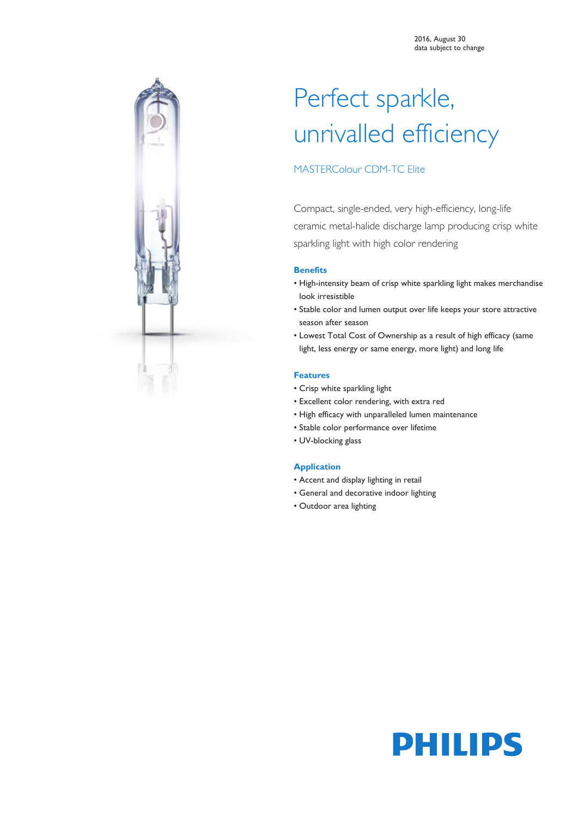

# Perfect sparkle, unrivalled efficiency

### MASTERColour CDM-TC Elite

Compact, single-ended, very high-efficiency, long-life ceramic metal-halide discharge lamp producing crisp white sparkling light with high color rendering

#### **Benefits**

- High-intensity beam of crisp white sparkling light makes merchandise look irresistible
- Stable color and lumen output over life keeps your store attractive season after season
- Lowest Total Cost of Ownership as a result of high efficacy (same light, less energy or same energy, more light) and long life

#### **Features**

- Crisp white sparkling light
- Excellent color rendering, with extra red
- High efficacy with unparalleled lumen maintenance
- Stable color performance over lifetime
- UV-blocking glass

#### **Application**

- Accent and display lighting in retail
- General and decorative indoor lighting
- Outdoor area lighting

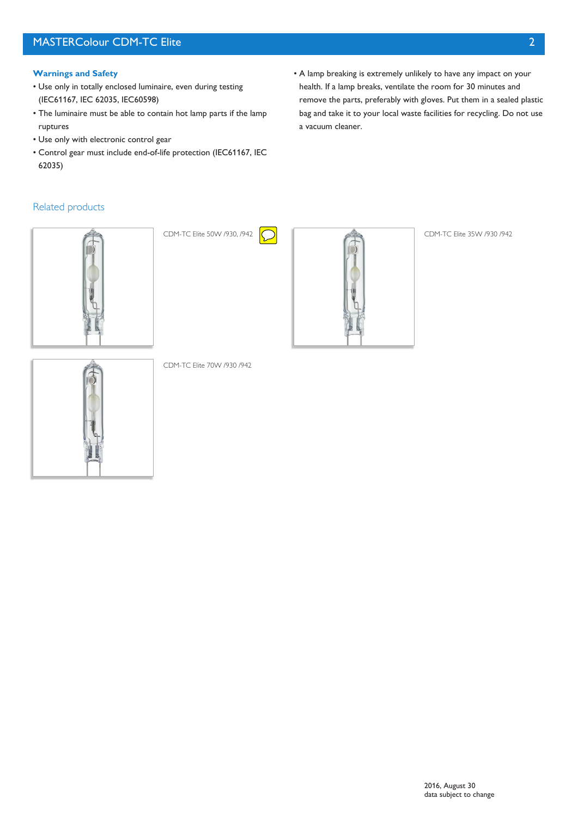### MASTERColour CDM-TC Elite 2

#### **Warnings and Safety**

- Use only in totally enclosed luminaire, even during testing (IEC61167, IEC 62035, IEC60598)
- The luminaire must be able to contain hot lamp parts if the lamp ruptures
- Use only with electronic control gear
- Control gear must include end-of-life protection (IEC61167, IEC 62035)
- A lamp breaking is extremely unlikely to have any impact on your health. If a lamp breaks, ventilate the room for 30 minutes and remove the parts, preferably with gloves. Put them in a sealed plastic bag and take it to your local waste facilities for recycling. Do not use a vacuum cleaner.

### Related products







CDM-TC Elite 70W /930 /942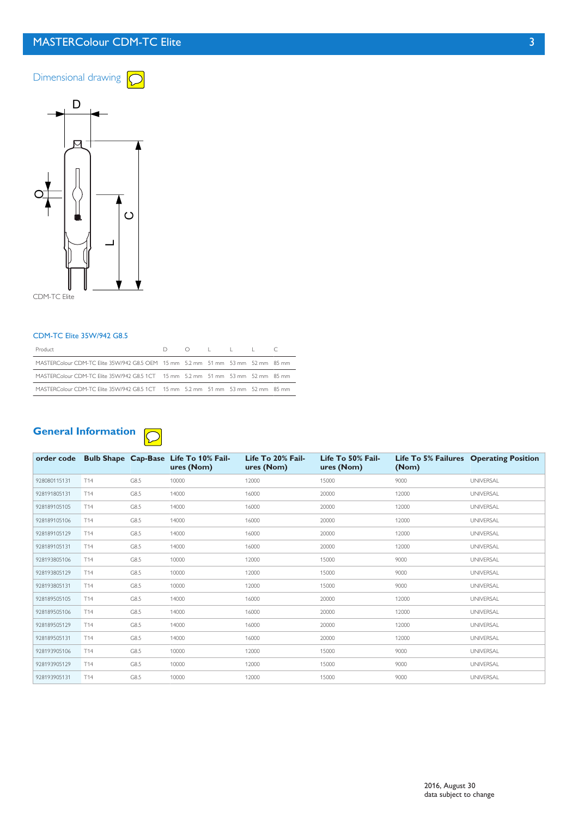### MASTERColour CDM-TC Elite 3





CDM-TC Elite

#### CDM-TC Elite 35W/942 G8.5

| Product                                                                         |  |  |  |
|---------------------------------------------------------------------------------|--|--|--|
| MASTERColour CDM-TC Elite 35W/942 G8.5 OEM 15 mm 5.2 mm 51 mm 53 mm 52 mm 85 mm |  |  |  |
| MASTERColour CDM-TC Elite 35W/942 G8.5 1CT 15 mm 5.2 mm 51 mm 53 mm 52 mm 85 mm |  |  |  |
| MASTERColour CDM-TC Elite 35W/942 G8.5 1CT 15 mm 5.2 mm 51 mm 53 mm 52 mm 85 mm |  |  |  |

#### **General Information**  $\overline{C}$

|              |     |      | order code Bulb Shape Cap-Base Life To 10% Fail-<br>ures (Nom) | Life To 20% Fail-<br>ures (Nom) | Life To 50% Fail-<br>ures (Nom) | (Nom) | Life To 5% Failures Operating Position |
|--------------|-----|------|----------------------------------------------------------------|---------------------------------|---------------------------------|-------|----------------------------------------|
| 928080115131 | T14 | G8.5 | 10000                                                          | 12000                           | 15000                           | 9000  | <b>UNIVERSAL</b>                       |
| 928191805131 | T14 | G8.5 | 14000                                                          | 16000                           | 20000                           | 12000 | <b>UNIVERSAL</b>                       |
| 928189105105 | T14 | G8.5 | 14000                                                          | 16000                           | 20000                           | 12000 | <b>UNIVERSAL</b>                       |
| 928189105106 | T14 | G8.5 | 14000                                                          | 16000                           | 20000                           | 12000 | <b>UNIVERSAL</b>                       |
| 928189105129 | T14 | G8.5 | 14000                                                          | 16000                           | 20000                           | 12000 | <b>UNIVERSAL</b>                       |
| 928189105131 | T14 | G8.5 | 14000                                                          | 16000                           | 20000                           | 12000 | <b>UNIVERSAL</b>                       |
| 928193805106 | T14 | G8.5 | 10000                                                          | 12000                           | 15000                           | 9000  | <b>UNIVERSAL</b>                       |
| 928193805129 | T14 | G8.5 | 10000                                                          | 12000                           | 15000                           | 9000  | <b>UNIVERSAL</b>                       |
| 928193805131 | T14 | G8.5 | 10000                                                          | 12000                           | 15000                           | 9000  | <b>UNIVERSAL</b>                       |
| 928189505105 | T14 | G8.5 | 14000                                                          | 16000                           | 20000                           | 12000 | <b>UNIVERSAL</b>                       |
| 928189505106 | T14 | G8.5 | 14000                                                          | 16000                           | 20000                           | 12000 | <b>UNIVERSAL</b>                       |
| 928189505129 | T14 | G8.5 | 14000                                                          | 16000                           | 20000                           | 12000 | <b>UNIVERSAL</b>                       |
| 928189505131 | T14 | G8.5 | 14000                                                          | 16000                           | 20000                           | 12000 | <b>UNIVERSAL</b>                       |
| 928193905106 | T14 | G8.5 | 10000                                                          | 12000                           | 15000                           | 9000  | <b>UNIVERSAL</b>                       |
| 928193905129 | T14 | G8.5 | 10000                                                          | 12000                           | 15000                           | 9000  | <b>UNIVERSAL</b>                       |
| 928193905131 | T14 | G8.5 | 10000                                                          | 12000                           | 15000                           | 9000  | <b>UNIVERSAL</b>                       |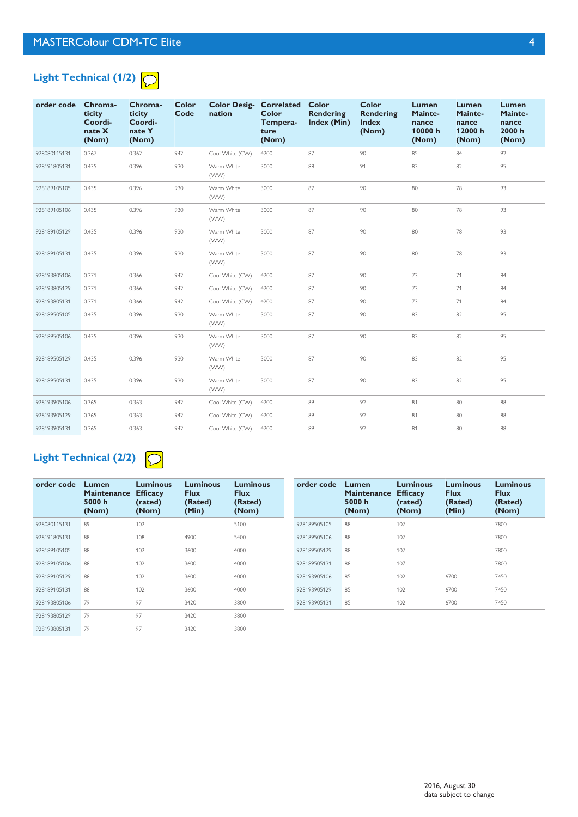

| order code   | Chroma-<br>ticity<br>Coordi-<br>nate X<br>(Nom) | Chroma-<br>ticity<br>Coordi-<br>nate Y<br>(Nom) | <b>Color</b><br>Code | <b>Color Desig- Correlated</b><br>nation | Color<br>Tempera-<br>ture<br>(Nom) | Color<br>Rendering<br><b>Index (Min)</b> | Color<br><b>Rendering</b><br><b>Index</b><br>(Nom) | Lumen<br>Mainte-<br>nance<br>10000h<br>(Nom) | <b>Lumen</b><br>Mainte-<br>nance<br>12000h<br>(Nom) | Lumen<br>Mainte-<br>nance<br>2000h<br>(Nom) |
|--------------|-------------------------------------------------|-------------------------------------------------|----------------------|------------------------------------------|------------------------------------|------------------------------------------|----------------------------------------------------|----------------------------------------------|-----------------------------------------------------|---------------------------------------------|
| 928080115131 | 0.367                                           | 0.362                                           | 942                  | Cool White (CW)                          | 4200                               | 87                                       | 90                                                 | 85                                           | 84                                                  | 92                                          |
| 928191805131 | 0.435                                           | 0.396                                           | 930                  | Warm White<br>(WW)                       | 3000                               | 88                                       | 91                                                 | 83                                           | 82                                                  | 95                                          |
| 928189105105 | 0.435                                           | 0.396                                           | 930                  | Warm White<br>(WW)                       | 3000                               | 87                                       | 90                                                 | 80                                           | 78                                                  | 93                                          |
| 928189105106 | 0.435                                           | 0.396                                           | 930                  | Warm White<br>(WW)                       | 3000                               | 87                                       | 90                                                 | 80                                           | 78                                                  | 93                                          |
| 928189105129 | 0.435                                           | 0.396                                           | 930                  | Warm White<br>(WW)                       | 3000                               | 87                                       | 90                                                 | 80                                           | 78                                                  | 93                                          |
| 928189105131 | 0.435                                           | 0.396                                           | 930                  | Warm White<br>(WW)                       | 3000                               | 87                                       | 90                                                 | 80                                           | 78                                                  | 93                                          |
| 928193805106 | 0.371                                           | 0.366                                           | 942                  | Cool White (CW)                          | 4200                               | 87                                       | 90                                                 | 73                                           | 71                                                  | 84                                          |
| 928193805129 | 0.371                                           | 0.366                                           | 942                  | Cool White (CW)                          | 4200                               | 87                                       | 90                                                 | 73                                           | 71                                                  | 84                                          |
| 928193805131 | 0.371                                           | 0.366                                           | 942                  | Cool White (CW)                          | 4200                               | 87                                       | 90                                                 | 73                                           | 71                                                  | 84                                          |
| 928189505105 | 0.435                                           | 0.396                                           | 930                  | Warm White<br>(WW)                       | 3000                               | 87                                       | 90                                                 | 83                                           | 82                                                  | 95                                          |
| 928189505106 | 0.435                                           | 0.396                                           | 930                  | Warm White<br>(WW)                       | 3000                               | 87                                       | 90                                                 | 83                                           | 82                                                  | 95                                          |
| 928189505129 | 0.435                                           | 0.396                                           | 930                  | Warm White<br>(WW)                       | 3000                               | 87                                       | 90                                                 | 83                                           | 82                                                  | 95                                          |
| 928189505131 | 0.435                                           | 0.396                                           | 930                  | Warm White<br>(WW)                       | 3000                               | 87                                       | 90                                                 | 83                                           | 82                                                  | 95                                          |
| 928193905106 | 0.365                                           | 0.363                                           | 942                  | Cool White (CW)                          | 4200                               | 89                                       | 92                                                 | 81                                           | 80                                                  | 88                                          |
| 928193905129 | 0.365                                           | 0.363                                           | 942                  | Cool White (CW)                          | 4200                               | 89                                       | 92                                                 | 81                                           | 80                                                  | 88                                          |
| 928193905131 | 0.365                                           | 0.363                                           | 942                  | Cool White (CW)                          | 4200                               | 89                                       | 92                                                 | 81                                           | 80                                                  | 88                                          |

### **Light Technical (2/2)**

|--|

| order code   | Lumen<br><b>Maintenance</b><br>5000 h<br>(Nom) | <b>Luminous</b><br><b>Efficacy</b><br>(rated)<br>(Nom) | <b>Luminous</b><br><b>Flux</b><br>(Rated)<br>(Min) | <b>Luminous</b><br><b>Flux</b><br>(Rated)<br>(Nom) |
|--------------|------------------------------------------------|--------------------------------------------------------|----------------------------------------------------|----------------------------------------------------|
| 928080115131 | 89                                             | 102                                                    |                                                    | 5100                                               |
| 928191805131 | 88                                             | 108                                                    | 4900                                               | 5400                                               |
| 928189105105 | 88                                             | 102                                                    | 3600                                               | 4000                                               |
| 928189105106 | 88                                             | 102                                                    | 3600                                               | 4000                                               |
| 928189105129 | 88                                             | 102                                                    | 3600                                               | 4000                                               |
| 928189105131 | 88                                             | 102                                                    | 3600                                               | 4000                                               |
| 928193805106 | 79                                             | 97                                                     | 3420                                               | 3800                                               |
| 928193805129 | 79                                             | 97                                                     | 3420                                               | 3800                                               |
| 928193805131 | 79                                             | 97                                                     | 3420                                               | 3800                                               |

| order code   | Lumen<br>Maintenance<br>5000 h<br>(Nom) | Luminous<br><b>Efficacy</b><br>(rated)<br>(Nom) | <b>Luminous</b><br><b>Flux</b><br>(Rated)<br>(Min) | <b>Luminous</b><br><b>Flux</b><br>(Rated)<br>(Nom) |
|--------------|-----------------------------------------|-------------------------------------------------|----------------------------------------------------|----------------------------------------------------|
| 928189505105 | 88                                      | 107                                             | ٠                                                  | 7800                                               |
| 928189505106 | 88                                      | 107                                             | ×,                                                 | 7800                                               |
| 928189505129 | 88                                      | 107                                             | ٠                                                  | 7800                                               |
| 928189505131 | 88                                      | 107                                             | ٠                                                  | 7800                                               |
| 928193905106 | 85                                      | 102                                             | 6700                                               | 7450                                               |
| 928193905129 | 85                                      | 102                                             | 6700                                               | 7450                                               |
| 928193905131 | 85                                      | 102                                             | 6700                                               | 7450                                               |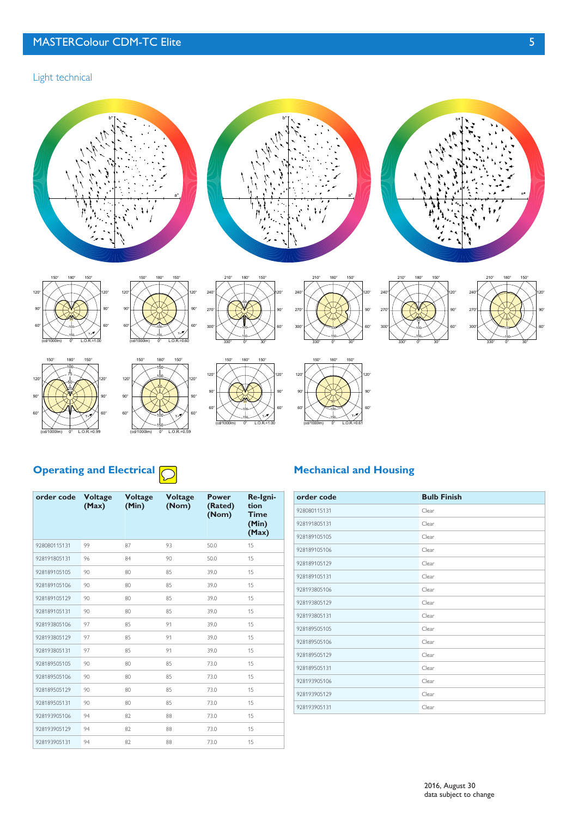Light technical





300° <sub>27</sub> 240°





0°















150° 180° 150°





210° 180° 150°

50 100 150





(cd/1000lm) 0° L.O.R.=0.99 (cd/1000lm) 0° L.O.R.=0.59



60° 90° 120°



## **Operating and Electrical**  $\bigcirc$

| order code   | <b>Voltage</b><br>(Max) | <b>Voltage</b><br>(Min) | <b>Voltage</b><br>(Nom) | <b>Power</b><br>(Rated)<br>(Nom) | Re-Igni-<br>tion<br><b>Time</b><br>(Min)<br>(Max) |
|--------------|-------------------------|-------------------------|-------------------------|----------------------------------|---------------------------------------------------|
| 928080115131 | 99                      | 87                      | 93                      | 50.0                             | 15                                                |
| 928191805131 | 96                      | 84                      | 90                      | 50.0                             | 15                                                |
| 928189105105 | 90                      | 80                      | 85                      | 39.0                             | 15                                                |
| 928189105106 | 90                      | 80                      | 85                      | 39.0                             | 15                                                |
| 928189105129 | 90                      | 80                      | 85                      | 39.0                             | 15                                                |
| 928189105131 | 90                      | 80                      | 85                      | 39.0                             | 15                                                |
| 928193805106 | 97                      | 85                      | 91                      | 39.0                             | 15                                                |
| 928193805129 | 97                      | 85                      | 91                      | 39.0                             | 15                                                |
| 928193805131 | 97                      | 85                      | 91                      | 39.0                             | 15                                                |
| 928189505105 | 90                      | 80                      | 85                      | 73.0                             | 15                                                |
| 928189505106 | 90                      | 80                      | 85                      | 73.0                             | 15                                                |
| 928189505129 | 90                      | 80                      | 85                      | 73.0                             | 15                                                |
| 928189505131 | 90                      | 80                      | 85                      | 73.0                             | 15                                                |
| 928193905106 | 94                      | 82                      | 88                      | 73.0                             | 15                                                |
| 928193905129 | 94                      | 82                      | 88                      | 73.0                             | 15                                                |
| 928193905131 | 94                      | 82                      | 88                      | 73.0                             | 15                                                |

### **Mechanical and Housing**

60° 90° 120°

| order code   | <b>Bulb Finish</b> |
|--------------|--------------------|
| 928080115131 | Clear              |
| 928191805131 | Clear              |
| 928189105105 | Clear              |
| 928189105106 | Clear              |
| 928189105129 | Clear              |
| 928189105131 | Clear              |
| 928193805106 | Clear              |
| 928193805129 | Clear              |
| 928193805131 | Clear              |
| 928189505105 | Clear              |
| 928189505106 | Clear              |
| 928189505129 | Clear              |
| 928189505131 | Clear              |
| 928193905106 | Clear              |
| 928193905129 | Clear              |
| 928193905131 | Clear              |